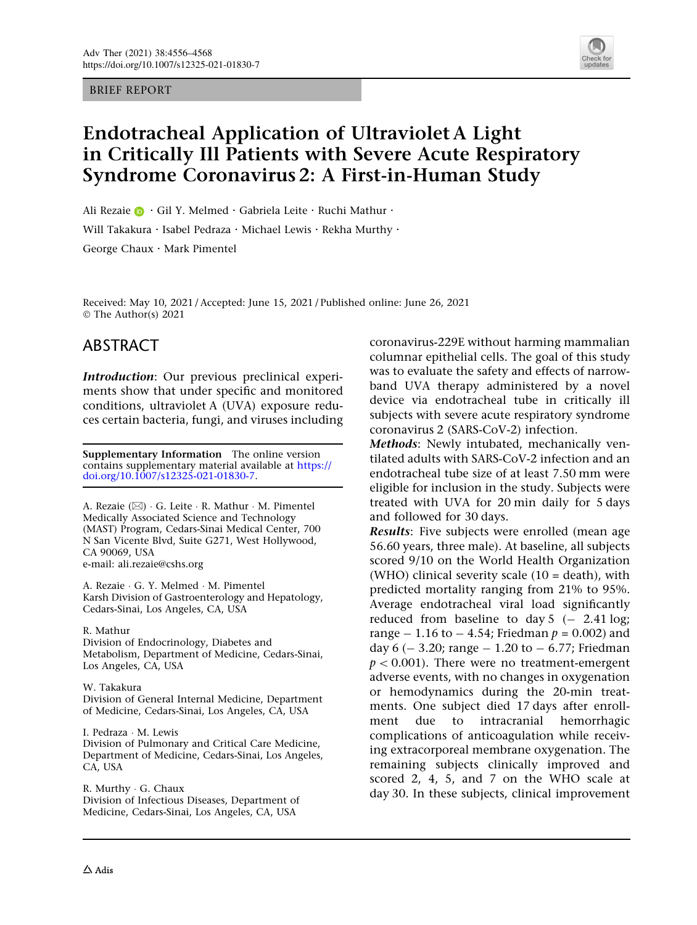#### BRIEF REPORT



# Endotracheal Application of Ultraviolet A Light in Critically Ill Patients with Severe Acute Respiratory Syndrome Coronavirus 2: A First-in-Human Study

Ali Rezaie  $\bigcirc$  · Gil Y. Melmed · Gabriela Leite · Ruchi Mathur ·

Will Takakura · Isabel Pedraza · Michael Lewis · Rekha Murthy ·

George Chaux . Mark Pimentel

Received: May 10, 2021 / Accepted: June 15, 2021 / Published online: June 26, 2021  $\circ$  The Author(s) 2021

# ABSTRACT

Introduction: Our previous preclinical experiments show that under specific and monitored conditions, ultraviolet A (UVA) exposure reduces certain bacteria, fungi, and viruses including

Supplementary Information The online version contains supplementary material available at [https://](https://doi.org/10.1007/s12325-021-01830-7) [doi.org/10.1007/s12325-021-01830-7.](https://doi.org/10.1007/s12325-021-01830-7)

A. Rezaie (⊠) · G. Leite · R. Mathur · M. Pimentel Medically Associated Science and Technology (MAST) Program, Cedars-Sinai Medical Center, 700 N San Vicente Blvd, Suite G271, West Hollywood, CA 90069, USA e-mail: ali.rezaie@cshs.org

A. Rezaie - G. Y. Melmed - M. Pimentel Karsh Division of Gastroenterology and Hepatology, Cedars-Sinai, Los Angeles, CA, USA

#### R. Mathur

Division of Endocrinology, Diabetes and Metabolism, Department of Medicine, Cedars-Sinai, Los Angeles, CA, USA

W. Takakura Division of General Internal Medicine, Department of Medicine, Cedars-Sinai, Los Angeles, CA, USA

I. Pedraza - M. Lewis Division of Pulmonary and Critical Care Medicine, Department of Medicine, Cedars-Sinai, Los Angeles, CA, USA

R. Murthy - G. Chaux Division of Infectious Diseases, Department of Medicine, Cedars-Sinai, Los Angeles, CA, USA

coronavirus-229E without harming mammalian columnar epithelial cells. The goal of this study was to evaluate the safety and effects of narrowband UVA therapy administered by a novel device via endotracheal tube in critically ill subjects with severe acute respiratory syndrome coronavirus 2 (SARS-CoV-2) infection.

Methods: Newly intubated, mechanically ventilated adults with SARS-CoV-2 infection and an endotracheal tube size of at least 7.50 mm were eligible for inclusion in the study. Subjects were treated with UVA for 20 min daily for 5 days and followed for 30 days.

Results: Five subjects were enrolled (mean age 56.60 years, three male). At baseline, all subjects scored 9/10 on the World Health Organization (WHO) clinical severity scale  $(10 = death)$ , with predicted mortality ranging from 21% to 95%. Average endotracheal viral load significantly reduced from baseline to day  $5$  ( $-$  2.41 log; range  $- 1.16$  to  $- 4.54$ ; Friedman  $p = 0.002$ ) and day 6 ( $-$  3.20; range  $-$  1.20 to  $-$  6.77; Friedman  $p < 0.001$ ). There were no treatment-emergent adverse events, with no changes in oxygenation or hemodynamics during the 20-min treatments. One subject died 17 days after enrollment due to intracranial hemorrhagic complications of anticoagulation while receiving extracorporeal membrane oxygenation. The remaining subjects clinically improved and scored 2, 4, 5, and 7 on the WHO scale at day 30. In these subjects, clinical improvement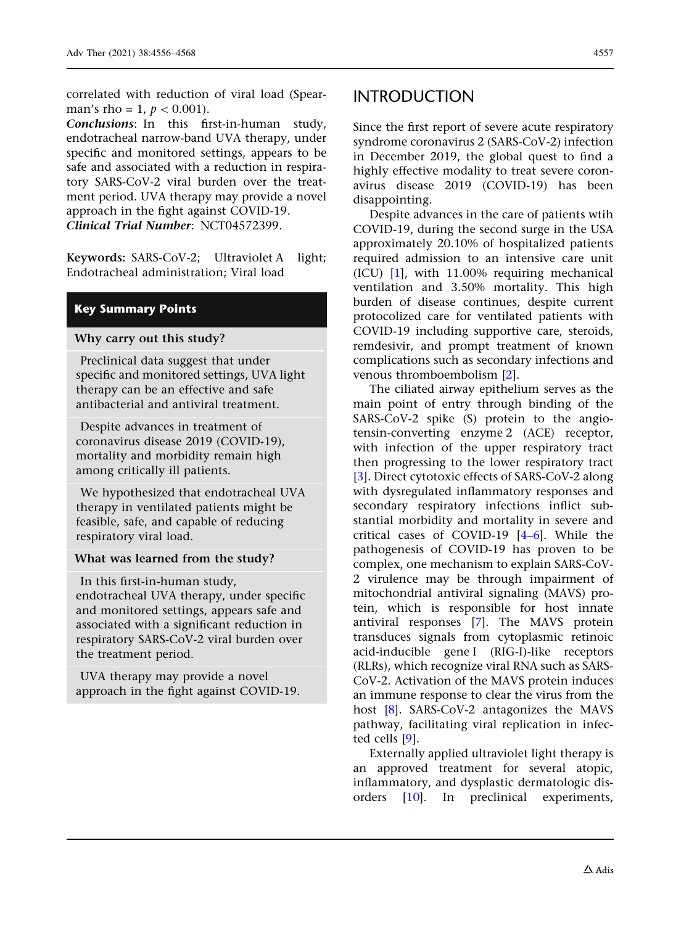correlated with reduction of viral load (Spearman's rho = 1,  $p < 0.001$ ).

Conclusions: In this first-in-human study, endotracheal narrow-band UVA therapy, under specific and monitored settings, appears to be safe and associated with a reduction in respiratory SARS-CoV-2 viral burden over the treatment period. UVA therapy may provide a novel approach in the fight against COVID-19. Clinical Trial Number: NCT04572399.

Keywords: SARS-CoV-2; Ultraviolet A light; Endotracheal administration; Viral load

### Key Summary Points

### Why carry out this study?

Preclinical data suggest that under specific and monitored settings, UVA light therapy can be an effective and safe antibacterial and antiviral treatment.

Despite advances in treatment of coronavirus disease 2019 (COVID-19), mortality and morbidity remain high among critically ill patients.

We hypothesized that endotracheal UVA therapy in ventilated patients might be feasible, safe, and capable of reducing respiratory viral load.

### What was learned from the study?

In this first-in-human study,

endotracheal UVA therapy, under specific and monitored settings, appears safe and associated with a significant reduction in respiratory SARS-CoV-2 viral burden over the treatment period.

UVA therapy may provide a novel approach in the fight against COVID-19.

### INTRODUCTION

Since the first report of severe acute respiratory syndrome coronavirus 2 (SARS-CoV-2) infection in December 2019, the global quest to find a highly effective modality to treat severe coronavirus disease 2019 (COVID-19) has been disappointing.

Despite advances in the care of patients wtih COVID-19, during the second surge in the USA approximately 20.10% of hospitalized patients required admission to an intensive care unit (ICU) [[1](#page-11-0)], with 11.00% requiring mechanical ventilation and 3.50% mortality. This high burden of disease continues, despite current protocolized care for ventilated patients with COVID-19 including supportive care, steroids, remdesivir, and prompt treatment of known complications such as secondary infections and venous thromboembolism [\[2](#page-11-0)].

The ciliated airway epithelium serves as the main point of entry through binding of the SARS-CoV-2 spike (S) protein to the angiotensin-converting enzyme 2 (ACE) receptor, with infection of the upper respiratory tract then progressing to the lower respiratory tract [\[3\]](#page-11-0). Direct cytotoxic effects of SARS-CoV-2 along with dysregulated inflammatory responses and secondary respiratory infections inflict substantial morbidity and mortality in severe and critical cases of COVID-19 [[4–6](#page-11-0)]. While the pathogenesis of COVID-19 has proven to be complex, one mechanism to explain SARS-CoV-2 virulence may be through impairment of mitochondrial antiviral signaling (MAVS) protein, which is responsible for host innate antiviral responses [\[7\]](#page-11-0). The MAVS protein transduces signals from cytoplasmic retinoic acid-inducible gene I (RIG-I)-like receptors (RLRs), which recognize viral RNA such as SARS-CoV-2. Activation of the MAVS protein induces an immune response to clear the virus from the host [[8\]](#page-11-0). SARS-CoV-2 antagonizes the MAVS pathway, facilitating viral replication in infected cells [[9\]](#page-11-0).

Externally applied ultraviolet light therapy is an approved treatment for several atopic, inflammatory, and dysplastic dermatologic disorders [\[10\]](#page-11-0). In preclinical experiments,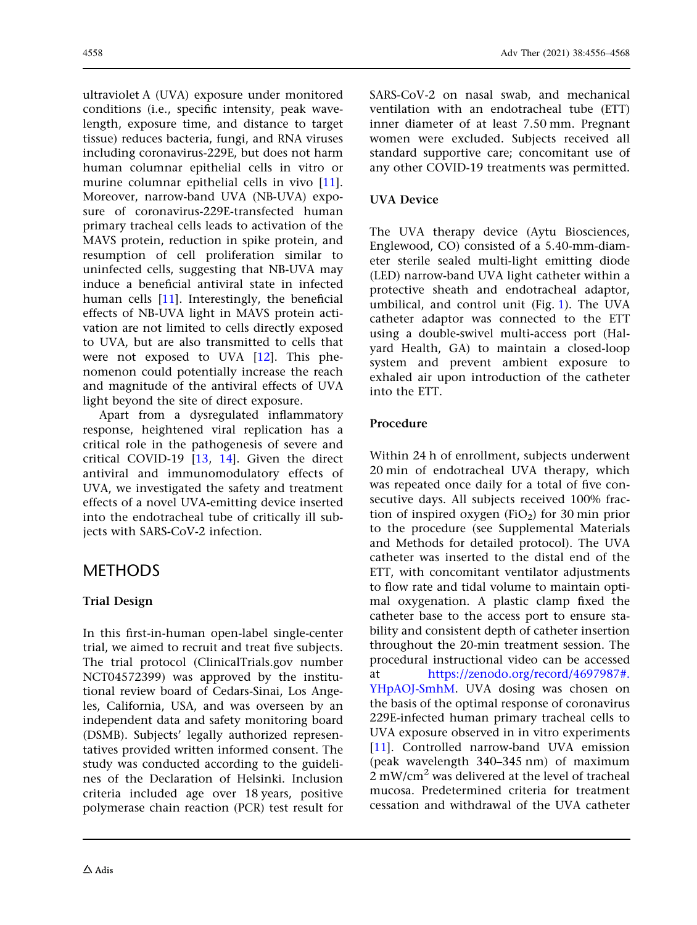ultraviolet A (UVA) exposure under monitored conditions (i.e., specific intensity, peak wavelength, exposure time, and distance to target tissue) reduces bacteria, fungi, and RNA viruses including coronavirus-229E, but does not harm human columnar epithelial cells in vitro or murine columnar epithelial cells in vivo [[11](#page-11-0)]. Moreover, narrow-band UVA (NB-UVA) exposure of coronavirus-229E-transfected human primary tracheal cells leads to activation of the MAVS protein, reduction in spike protein, and resumption of cell proliferation similar to uninfected cells, suggesting that NB-UVA may induce a beneficial antiviral state in infected human cells [\[11\]](#page-11-0). Interestingly, the beneficial effects of NB-UVA light in MAVS protein activation are not limited to cells directly exposed to UVA, but are also transmitted to cells that were not exposed to UVA  $[12]$  $[12]$  $[12]$ . This phenomenon could potentially increase the reach and magnitude of the antiviral effects of UVA light beyond the site of direct exposure.

Apart from a dysregulated inflammatory response, heightened viral replication has a critical role in the pathogenesis of severe and critical COVID-19 [[13](#page-11-0), [14\]](#page-11-0). Given the direct antiviral and immunomodulatory effects of UVA, we investigated the safety and treatment effects of a novel UVA-emitting device inserted into the endotracheal tube of critically ill subjects with SARS-CoV-2 infection.

# METHODS

# Trial Design

In this first-in-human open-label single-center trial, we aimed to recruit and treat five subjects. The trial protocol (ClinicalTrials.gov number NCT04572399) was approved by the institutional review board of Cedars-Sinai, Los Angeles, California, USA, and was overseen by an independent data and safety monitoring board (DSMB). Subjects' legally authorized representatives provided written informed consent. The study was conducted according to the guidelines of the Declaration of Helsinki. Inclusion criteria included age over 18 years, positive polymerase chain reaction (PCR) test result for

### UVA Device

The UVA therapy device (Aytu Biosciences, Englewood, CO) consisted of a 5.40-mm-diameter sterile sealed multi-light emitting diode (LED) narrow-band UVA light catheter within a protective sheath and endotracheal adaptor, umbilical, and control unit (Fig. [1\)](#page-3-0). The UVA catheter adaptor was connected to the ETT using a double-swivel multi-access port (Halyard Health, GA) to maintain a closed-loop system and prevent ambient exposure to exhaled air upon introduction of the catheter into the ETT.

### Procedure

Within 24 h of enrollment, subjects underwent 20 min of endotracheal UVA therapy, which was repeated once daily for a total of five consecutive days. All subjects received 100% fraction of inspired oxygen (FiO<sub>2</sub>) for 30 min prior to the procedure (see Supplemental Materials and Methods for detailed protocol). The UVA catheter was inserted to the distal end of the ETT, with concomitant ventilator adjustments to flow rate and tidal volume to maintain optimal oxygenation. A plastic clamp fixed the catheter base to the access port to ensure stability and consistent depth of catheter insertion throughout the 20-min treatment session. The procedural instructional video can be accessed at [https://zenodo.org/record/4697987#.](https://zenodo.org/record/4697987#.YHpAOJ-SmhM) [YHpAOJ-SmhM.](https://zenodo.org/record/4697987#.YHpAOJ-SmhM) UVA dosing was chosen on the basis of the optimal response of coronavirus 229E-infected human primary tracheal cells to UVA exposure observed in in vitro experiments [\[11\]](#page-11-0). Controlled narrow-band UVA emission (peak wavelength 340–345 nm) of maximum  $2 \text{ mW/cm}^2$  was delivered at the level of tracheal mucosa. Predetermined criteria for treatment cessation and withdrawal of the UVA catheter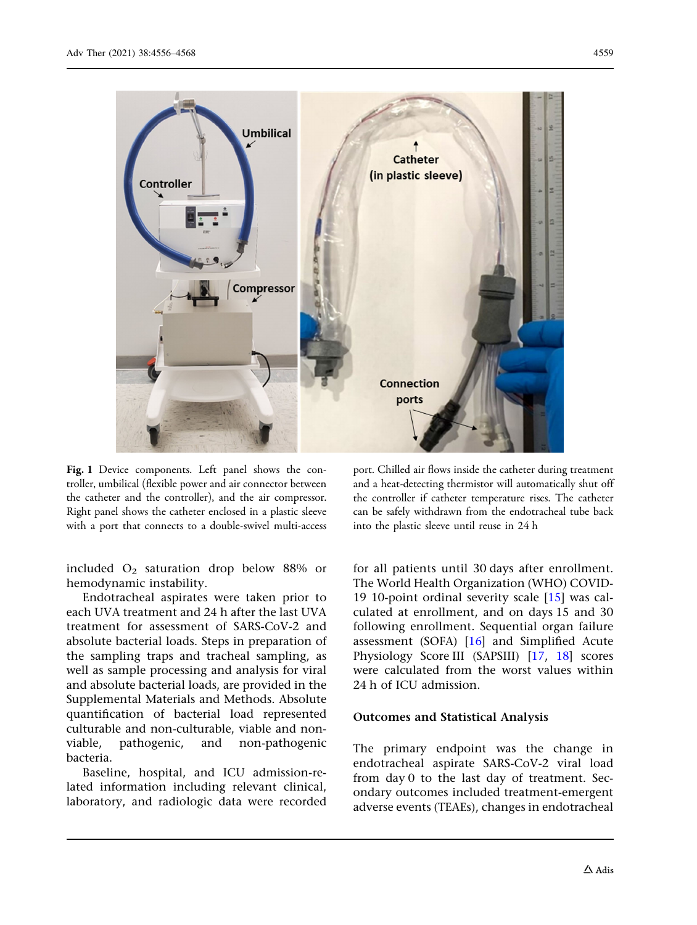<span id="page-3-0"></span>

Fig. 1 Device components. Left panel shows the controller, umbilical (flexible power and air connector between the catheter and the controller), and the air compressor. Right panel shows the catheter enclosed in a plastic sleeve with a port that connects to a double-swivel multi-access

included  $O_2$  saturation drop below 88% or hemodynamic instability.

Endotracheal aspirates were taken prior to each UVA treatment and 24 h after the last UVA treatment for assessment of SARS-CoV-2 and absolute bacterial loads. Steps in preparation of the sampling traps and tracheal sampling, as well as sample processing and analysis for viral and absolute bacterial loads, are provided in the Supplemental Materials and Methods. Absolute quantification of bacterial load represented culturable and non-culturable, viable and nonviable, pathogenic, and non-pathogenic bacteria.

Baseline, hospital, and ICU admission-related information including relevant clinical, laboratory, and radiologic data were recorded

port. Chilled air flows inside the catheter during treatment and a heat-detecting thermistor will automatically shut off the controller if catheter temperature rises. The catheter can be safely withdrawn from the endotracheal tube back into the plastic sleeve until reuse in 24 h

for all patients until 30 days after enrollment. The World Health Organization (WHO) COVID-19 10-point ordinal severity scale [\[15\]](#page-11-0) was calculated at enrollment, and on days 15 and 30 following enrollment. Sequential organ failure assessment (SOFA)  $[16]$  and Simplified Acute Physiology Score III (SAPSIII) [\[17,](#page-11-0) [18\]](#page-11-0) scores were calculated from the worst values within 24 h of ICU admission.

### Outcomes and Statistical Analysis

The primary endpoint was the change in endotracheal aspirate SARS-CoV-2 viral load from day 0 to the last day of treatment. Secondary outcomes included treatment-emergent adverse events (TEAEs), changes in endotracheal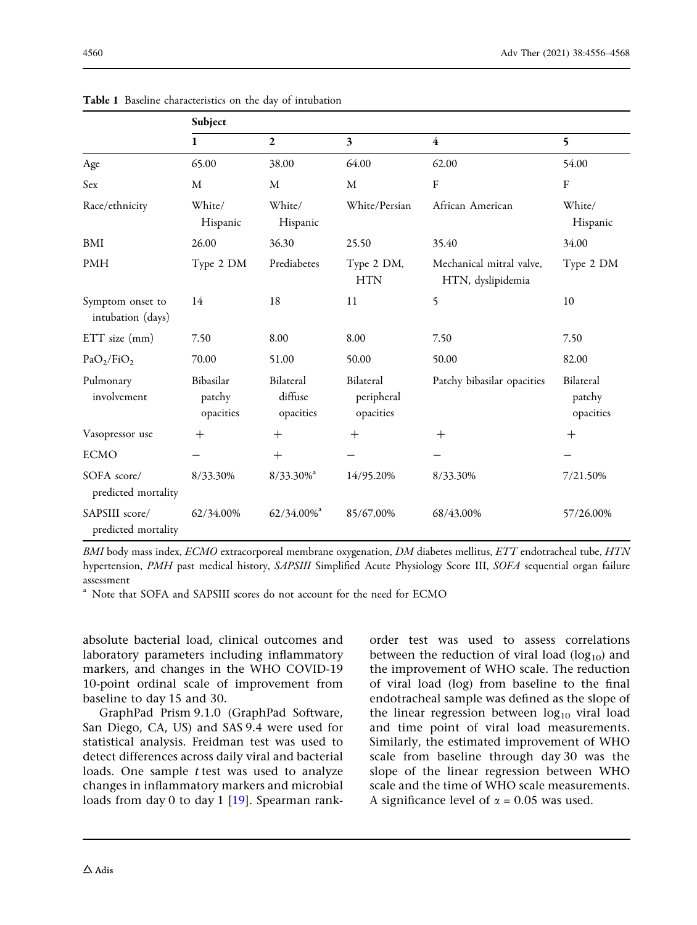|                                       | Subject                          |                                   |                                      |                                               |                                  |  |  |  |
|---------------------------------------|----------------------------------|-----------------------------------|--------------------------------------|-----------------------------------------------|----------------------------------|--|--|--|
|                                       | 1                                | $\mathbf{2}$                      | $\overline{\mathbf{3}}$              | $\overline{\mathbf{4}}$                       | 5                                |  |  |  |
| Age                                   | 65.00                            | 38.00                             | 64.00                                | 62.00                                         | 54.00                            |  |  |  |
| Sex                                   | M                                | M                                 | M                                    | ${\bf F}$                                     | ${\bf F}$                        |  |  |  |
| Race/ethnicity                        | White/<br>Hispanic               | White/<br>Hispanic                | White/Persian                        | African American                              | White/<br>Hispanic               |  |  |  |
| BMI                                   | 26.00                            | 36.30                             | 25.50                                | 35.40                                         | 34.00                            |  |  |  |
| <b>PMH</b>                            | Type 2 DM                        | Prediabetes                       | Type 2 DM,<br><b>HTN</b>             | Mechanical mitral valve,<br>HTN, dyslipidemia | Type 2 DM                        |  |  |  |
| Symptom onset to<br>intubation (days) | 14                               | 18                                | 11                                   | 5                                             | 10                               |  |  |  |
| $ETT$ size $(mm)$                     | 7.50                             | 8.00                              | 8.00                                 | 7.50                                          | 7.50                             |  |  |  |
| PaO <sub>2</sub> /FiO <sub>2</sub>    | 70.00                            | 51.00                             | 50.00                                | 50.00                                         | 82.00                            |  |  |  |
| Pulmonary<br>involvement              | Bibasilar<br>patchy<br>opacities | Bilateral<br>diffuse<br>opacities | Bilateral<br>peripheral<br>opacities | Patchy bibasilar opacities                    | Bilateral<br>patchy<br>opacities |  |  |  |
| Vasopressor use                       | $+$                              | $^{+}$                            | $+$                                  | $^{+}$                                        | $^{+}$                           |  |  |  |
| <b>ECMO</b>                           |                                  | $^{+}$                            |                                      |                                               |                                  |  |  |  |
| SOFA score/<br>predicted mortality    | 8/33.30%                         | $8/33.30\%$ <sup>a</sup>          | 14/95.20%                            | 8/33.30%                                      | 7/21.50%                         |  |  |  |
| SAPSIII score/<br>predicted mortality | 62/34.00%                        | $62/34.00\%$ <sup>a</sup>         | 85/67.00%                            | 68/43.00%                                     | 57/26.00%                        |  |  |  |

<span id="page-4-0"></span>Table 1 Baseline characteristics on the day of intubation

BMI body mass index, ECMO extracorporeal membrane oxygenation, DM diabetes mellitus, ETT endotracheal tube, HTN hypertension, PMH past medical history, SAPSIII Simplified Acute Physiology Score III, SOFA sequential organ failure assessment

<sup>a</sup> Note that SOFA and SAPSIII scores do not account for the need for ECMO

absolute bacterial load, clinical outcomes and laboratory parameters including inflammatory markers, and changes in the WHO COVID-19 10-point ordinal scale of improvement from baseline to day 15 and 30.

GraphPad Prism 9.1.0 (GraphPad Software, San Diego, CA, US) and SAS 9.4 were used for statistical analysis. Freidman test was used to detect differences across daily viral and bacterial loads. One sample *t* test was used to analyze changes in inflammatory markers and microbial loads from day 0 to day 1 [\[19\]](#page-12-0). Spearman rankorder test was used to assess correlations between the reduction of viral load  $(log_{10})$  and the improvement of WHO scale. The reduction of viral load (log) from baseline to the final endotracheal sample was defined as the slope of the linear regression between  $log_{10}$  viral load and time point of viral load measurements. Similarly, the estimated improvement of WHO scale from baseline through day 30 was the slope of the linear regression between WHO scale and the time of WHO scale measurements. A significance level of  $\alpha$  = 0.05 was used.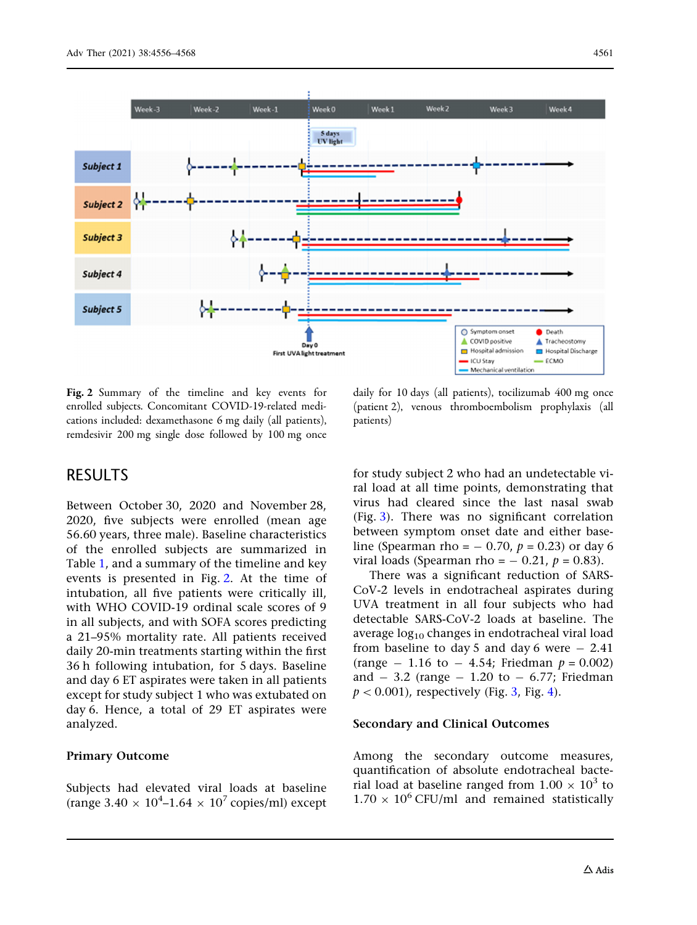<span id="page-5-0"></span>

Fig. 2 Summary of the timeline and key events for enrolled subjects. Concomitant COVID-19-related medications included: dexamethasone 6 mg daily (all patients), remdesivir 200 mg single dose followed by 100 mg once

# RESULTS

Between October 30, 2020 and November 28, 2020, five subjects were enrolled (mean age 56.60 years, three male). Baseline characteristics of the enrolled subjects are summarized in Table [1](#page-4-0), and a summary of the timeline and key events is presented in Fig. 2. At the time of intubation, all five patients were critically ill, with WHO COVID-19 ordinal scale scores of 9 in all subjects, and with SOFA scores predicting a 21–95% mortality rate. All patients received daily 20-min treatments starting within the first 36 h following intubation, for 5 days. Baseline and day 6 ET aspirates were taken in all patients except for study subject 1 who was extubated on day 6. Hence, a total of 29 ET aspirates were analyzed.

### Primary Outcome

Subjects had elevated viral loads at baseline (range  $3.40 \times 10^4$ –1.64  $\times$   $10^7$  copies/ml) except

daily for 10 days (all patients), tocilizumab 400 mg once (patient 2), venous thromboembolism prophylaxis (all patients)

for study subject 2 who had an undetectable viral load at all time points, demonstrating that virus had cleared since the last nasal swab (Fig. [3](#page-6-0)). There was no significant correlation between symptom onset date and either baseline (Spearman rho =  $-$  0.70,  $p = 0.23$ ) or day 6 viral loads (Spearman rho =  $-$  0.21,  $p = 0.83$ ).

There was a significant reduction of SARS-CoV-2 levels in endotracheal aspirates during UVA treatment in all four subjects who had detectable SARS-CoV-2 loads at baseline. The average  $log_{10}$  changes in endotracheal viral load from baseline to day 5 and day 6 were  $-2.41$ (range  $- 1.16$  to  $- 4.54$ ; Friedman  $p = 0.002$ ) and  $-3.2$  (range  $-1.20$  to  $-6.77$ ; Friedman  $p < 0.001$ ), respectively (Fig. [3](#page-6-0), Fig. [4](#page-7-0)).

### Secondary and Clinical Outcomes

Among the secondary outcome measures, quantification of absolute endotracheal bacterial load at baseline ranged from  $1.00 \times 10^3$  to  $1.70 \times 10^6$  CFU/ml and remained statistically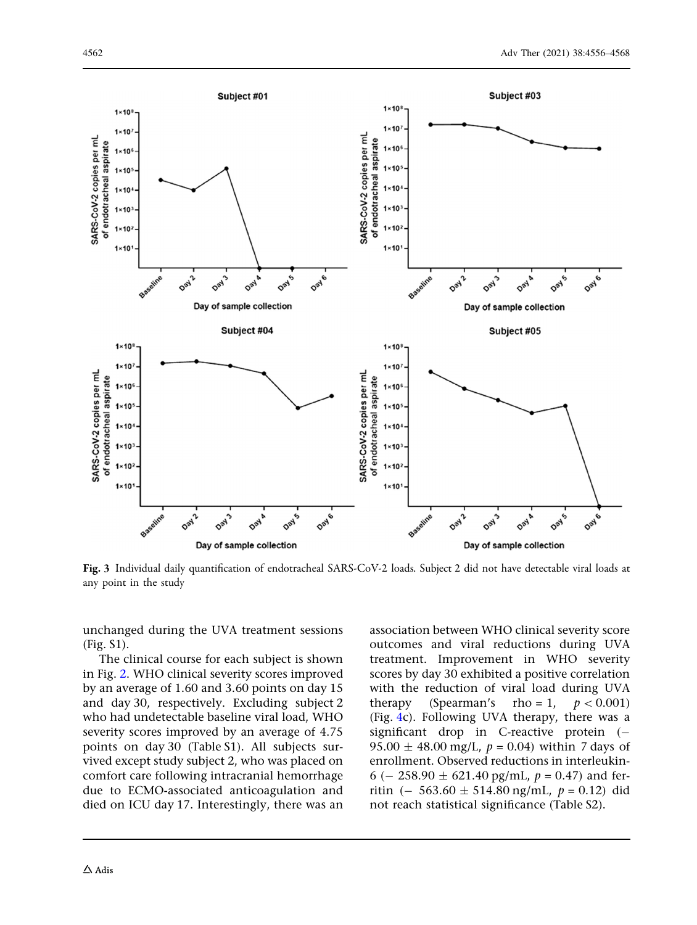<span id="page-6-0"></span>![](_page_6_Figure_1.jpeg)

Fig. 3 Individual daily quantification of endotracheal SARS-CoV-2 loads. Subject 2 did not have detectable viral loads at any point in the study

unchanged during the UVA treatment sessions (Fig. S1).

The clinical course for each subject is shown in Fig. [2](#page-5-0). WHO clinical severity scores improved by an average of 1.60 and 3.60 points on day 15 and day 30, respectively. Excluding subject 2 who had undetectable baseline viral load, WHO severity scores improved by an average of 4.75 points on day 30 (Table S1). All subjects survived except study subject 2, who was placed on comfort care following intracranial hemorrhage due to ECMO-associated anticoagulation and died on ICU day 17. Interestingly, there was an association between WHO clinical severity score outcomes and viral reductions during UVA treatment. Improvement in WHO severity scores by day 30 exhibited a positive correlation with the reduction of viral load during UVA therapy (Spearman's rho = 1,  $p < 0.001$ ) (Fig. [4](#page-7-0)c). Following UVA therapy, there was a significant drop in C-reactive protein  $(-$ 95.00  $\pm$  48.00 mg/L,  $p = 0.04$ ) within 7 days of enrollment. Observed reductions in interleukin-6 (- 258.90  $\pm$  621.40 pg/mL,  $p = 0.47$ ) and ferritin (- 563.60  $\pm$  514.80 ng/mL,  $p = 0.12$ ) did not reach statistical significance (Table S2).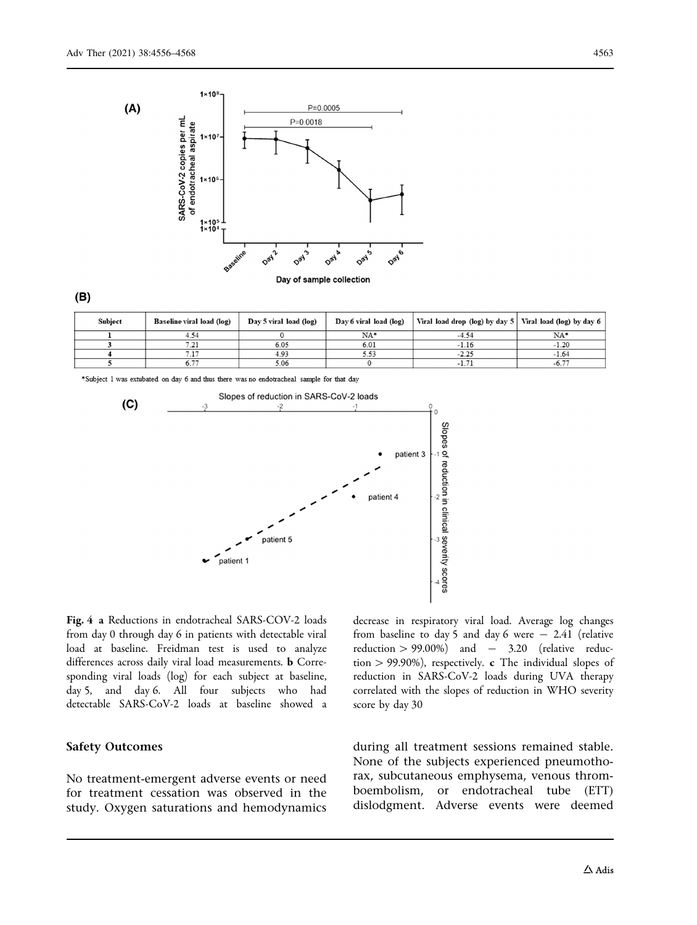<span id="page-7-0"></span>![](_page_7_Figure_1.jpeg)

#### $(B)$

| <b>Subject</b> | Baseline viral load (log) | Day 5 viral load (log) | Day 6 viral load (log) | Viral load drop (log) by day 5   Viral load (log) by day 6 |                      |
|----------------|---------------------------|------------------------|------------------------|------------------------------------------------------------|----------------------|
|                |                           |                        | NA*                    |                                                            | $NA*$                |
|                | 72<br>$-41$               | 6.05                   | 6.01                   | $-1.16$                                                    | $-1.20$              |
|                |                           | 4.93                   |                        | $-2.25$                                                    | $-1.64$              |
|                | .                         | 5.06                   |                        |                                                            | $\sim$ $-$<br>$-6.7$ |

\*Subject 1 was extubated on day 6 and thus there was no endotracheal sample for that day

![](_page_7_Figure_5.jpeg)

Fig. 4 a Reductions in endotracheal SARS-COV-2 loads from day 0 through day 6 in patients with detectable viral load at baseline. Freidman test is used to analyze differences across daily viral load measurements. b Corresponding viral loads (log) for each subject at baseline, day 5, and day 6. All four subjects who had detectable SARS-CoV-2 loads at baseline showed a

### Safety Outcomes

No treatment-emergent adverse events or need for treatment cessation was observed in the study. Oxygen saturations and hemodynamics decrease in respiratory viral load. Average log changes from baseline to day 5 and day 6 were  $-$  2.41 (relative reduction  $> 99.00\%$  and  $- 3.20$  (relative reduction  $> 99.90\%$ ), respectively. c The individual slopes of reduction in SARS-CoV-2 loads during UVA therapy correlated with the slopes of reduction in WHO severity score by day 30

during all treatment sessions remained stable. None of the subjects experienced pneumothorax, subcutaneous emphysema, venous thromboembolism, or endotracheal tube (ETT) dislodgment. Adverse events were deemed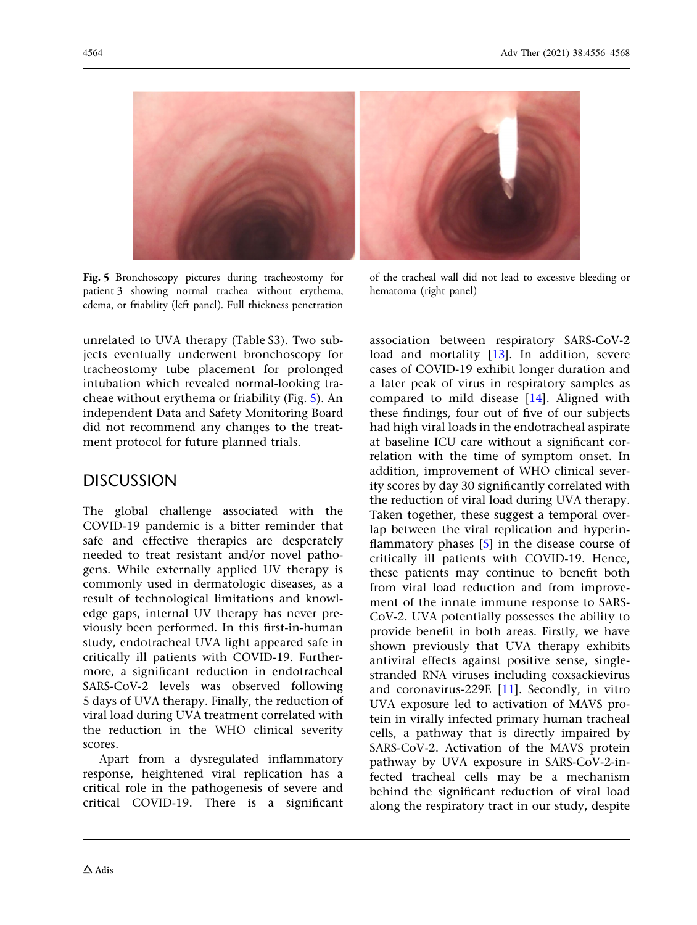![](_page_8_Picture_1.jpeg)

Fig. 5 Bronchoscopy pictures during tracheostomy for patient 3 showing normal trachea without erythema, edema, or friability (left panel). Full thickness penetration

of the tracheal wall did not lead to excessive bleeding or hematoma (right panel)

unrelated to UVA therapy (Table S3). Two subjects eventually underwent bronchoscopy for tracheostomy tube placement for prolonged intubation which revealed normal-looking tracheae without erythema or friability (Fig. 5). An independent Data and Safety Monitoring Board did not recommend any changes to the treatment protocol for future planned trials.

# DISCUSSION

The global challenge associated with the COVID-19 pandemic is a bitter reminder that safe and effective therapies are desperately needed to treat resistant and/or novel pathogens. While externally applied UV therapy is commonly used in dermatologic diseases, as a result of technological limitations and knowledge gaps, internal UV therapy has never previously been performed. In this first-in-human study, endotracheal UVA light appeared safe in critically ill patients with COVID-19. Furthermore, a significant reduction in endotracheal SARS-CoV-2 levels was observed following 5 days of UVA therapy. Finally, the reduction of viral load during UVA treatment correlated with the reduction in the WHO clinical severity scores.

Apart from a dysregulated inflammatory response, heightened viral replication has a critical role in the pathogenesis of severe and critical COVID-19. There is a significant association between respiratory SARS-CoV-2 load and mortality [\[13\]](#page-11-0). In addition, severe cases of COVID-19 exhibit longer duration and a later peak of virus in respiratory samples as compared to mild disease [\[14\]](#page-11-0). Aligned with these findings, four out of five of our subjects had high viral loads in the endotracheal aspirate at baseline ICU care without a significant correlation with the time of symptom onset. In addition, improvement of WHO clinical severity scores by day 30 significantly correlated with the reduction of viral load during UVA therapy. Taken together, these suggest a temporal overlap between the viral replication and hyperinflammatory phases [[5](#page-11-0)] in the disease course of critically ill patients with COVID-19. Hence, these patients may continue to benefit both from viral load reduction and from improvement of the innate immune response to SARS-CoV-2. UVA potentially possesses the ability to provide benefit in both areas. Firstly, we have shown previously that UVA therapy exhibits antiviral effects against positive sense, singlestranded RNA viruses including coxsackievirus and coronavirus-229E [[11\]](#page-11-0). Secondly, in vitro UVA exposure led to activation of MAVS protein in virally infected primary human tracheal cells, a pathway that is directly impaired by SARS-CoV-2. Activation of the MAVS protein pathway by UVA exposure in SARS-CoV-2-infected tracheal cells may be a mechanism behind the significant reduction of viral load along the respiratory tract in our study, despite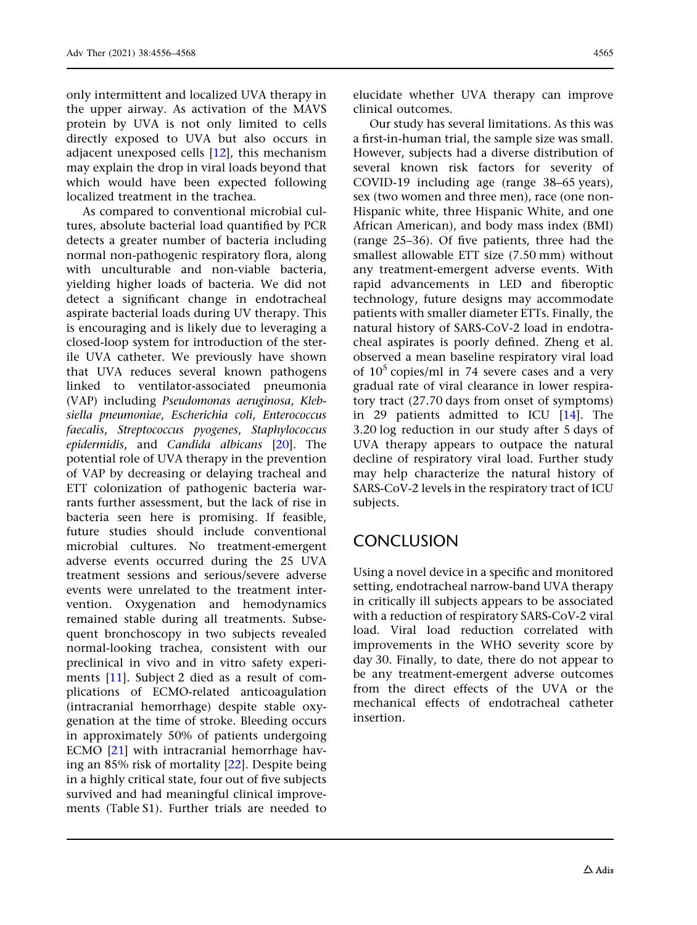only intermittent and localized UVA therapy in the upper airway. As activation of the MAVS protein by UVA is not only limited to cells directly exposed to UVA but also occurs in adjacent unexposed cells [[12](#page-11-0)], this mechanism may explain the drop in viral loads beyond that which would have been expected following localized treatment in the trachea.

As compared to conventional microbial cultures, absolute bacterial load quantified by PCR detects a greater number of bacteria including normal non-pathogenic respiratory flora, along with unculturable and non-viable bacteria, yielding higher loads of bacteria. We did not detect a significant change in endotracheal aspirate bacterial loads during UV therapy. This is encouraging and is likely due to leveraging a closed-loop system for introduction of the sterile UVA catheter. We previously have shown that UVA reduces several known pathogens linked to ventilator-associated pneumonia (VAP) including Pseudomonas aeruginosa, Klebsiella pneumoniae, Escherichia coli, Enterococcus faecalis, Streptococcus pyogenes, Staphylococcus epidermidis, and Candida albicans [[20](#page-12-0)]. The potential role of UVA therapy in the prevention of VAP by decreasing or delaying tracheal and ETT colonization of pathogenic bacteria warrants further assessment, but the lack of rise in bacteria seen here is promising. If feasible, future studies should include conventional microbial cultures. No treatment-emergent adverse events occurred during the 25 UVA treatment sessions and serious/severe adverse events were unrelated to the treatment intervention. Oxygenation and hemodynamics remained stable during all treatments. Subsequent bronchoscopy in two subjects revealed normal-looking trachea, consistent with our preclinical in vivo and in vitro safety experiments [[11\]](#page-11-0). Subject 2 died as a result of complications of ECMO-related anticoagulation (intracranial hemorrhage) despite stable oxygenation at the time of stroke. Bleeding occurs in approximately 50% of patients undergoing ECMO [[21](#page-12-0)] with intracranial hemorrhage having an 85% risk of mortality [[22](#page-12-0)]. Despite being in a highly critical state, four out of five subjects survived and had meaningful clinical improvements (Table S1). Further trials are needed to

elucidate whether UVA therapy can improve clinical outcomes.

Our study has several limitations. As this was a first-in-human trial, the sample size was small. However, subjects had a diverse distribution of several known risk factors for severity of COVID-19 including age (range 38–65 years), sex (two women and three men), race (one non-Hispanic white, three Hispanic White, and one African American), and body mass index (BMI) (range 25–36). Of five patients, three had the smallest allowable ETT size (7.50 mm) without any treatment-emergent adverse events. With rapid advancements in LED and fiberoptic technology, future designs may accommodate patients with smaller diameter ETTs. Finally, the natural history of SARS-CoV-2 load in endotracheal aspirates is poorly defined. Zheng et al. observed a mean baseline respiratory viral load of  $10^5$  copies/ml in 74 severe cases and a very gradual rate of viral clearance in lower respiratory tract (27.70 days from onset of symptoms) in 29 patients admitted to ICU [\[14\]](#page-11-0). The 3.20 log reduction in our study after 5 days of UVA therapy appears to outpace the natural decline of respiratory viral load. Further study may help characterize the natural history of SARS-CoV-2 levels in the respiratory tract of ICU subjects.

# **CONCLUSION**

Using a novel device in a specific and monitored setting, endotracheal narrow-band UVA therapy in critically ill subjects appears to be associated with a reduction of respiratory SARS-CoV-2 viral load. Viral load reduction correlated with improvements in the WHO severity score by day 30. Finally, to date, there do not appear to be any treatment-emergent adverse outcomes from the direct effects of the UVA or the mechanical effects of endotracheal catheter insertion.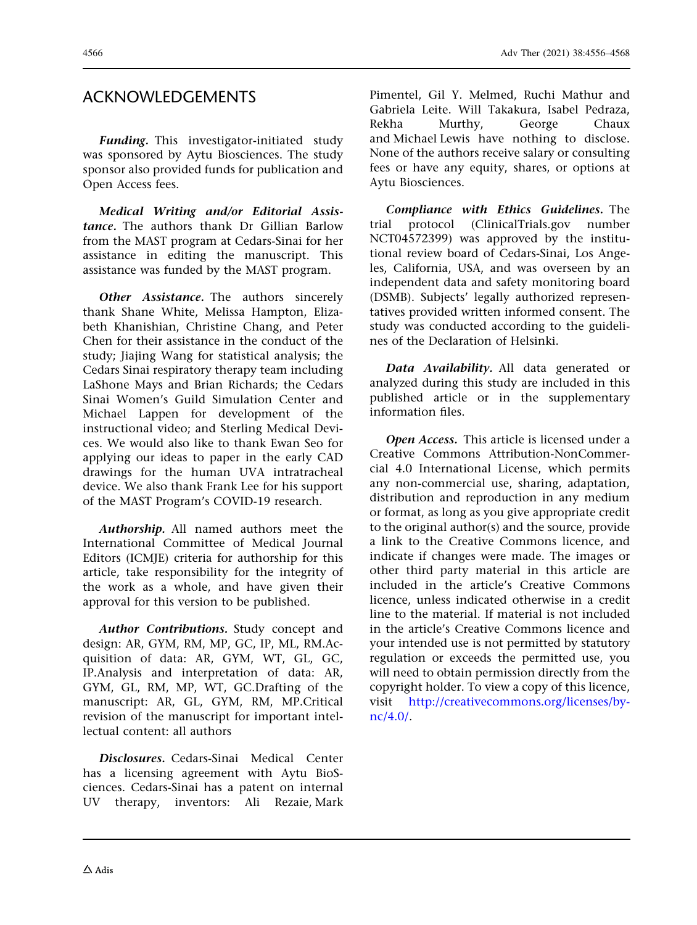# ACKNOWLEDGEMENTS

Funding. This investigator-initiated study was sponsored by Aytu Biosciences. The study sponsor also provided funds for publication and Open Access fees.

Medical Writing and/or Editorial Assistance. The authors thank Dr Gillian Barlow from the MAST program at Cedars-Sinai for her assistance in editing the manuscript. This assistance was funded by the MAST program.

**Other Assistance.** The authors sincerely thank Shane White, Melissa Hampton, Elizabeth Khanishian, Christine Chang, and Peter Chen for their assistance in the conduct of the study; Jiajing Wang for statistical analysis; the Cedars Sinai respiratory therapy team including LaShone Mays and Brian Richards; the Cedars Sinai Women's Guild Simulation Center and Michael Lappen for development of the instructional video; and Sterling Medical Devices. We would also like to thank Ewan Seo for applying our ideas to paper in the early CAD drawings for the human UVA intratracheal device. We also thank Frank Lee for his support of the MAST Program's COVID-19 research.

Authorship. All named authors meet the International Committee of Medical Journal Editors (ICMJE) criteria for authorship for this article, take responsibility for the integrity of the work as a whole, and have given their approval for this version to be published.

Author Contributions. Study concept and design: AR, GYM, RM, MP, GC, IP, ML, RM.Acquisition of data: AR, GYM, WT, GL, GC, IP.Analysis and interpretation of data: AR, GYM, GL, RM, MP, WT, GC.Drafting of the manuscript: AR, GL, GYM, RM, MP.Critical revision of the manuscript for important intellectual content: all authors

Disclosures. Cedars-Sinai Medical Center has a licensing agreement with Aytu BioSciences. Cedars-Sinai has a patent on internal UV therapy, inventors: Ali Rezaie, Mark

Pimentel, Gil Y. Melmed, Ruchi Mathur and Gabriela Leite. Will Takakura, Isabel Pedraza, Rekha Murthy, George Chaux and Michael Lewis have nothing to disclose. None of the authors receive salary or consulting fees or have any equity, shares, or options at Aytu Biosciences.

Compliance with Ethics Guidelines. The trial protocol (ClinicalTrials.gov number NCT04572399) was approved by the institutional review board of Cedars-Sinai, Los Angeles, California, USA, and was overseen by an independent data and safety monitoring board (DSMB). Subjects' legally authorized representatives provided written informed consent. The study was conducted according to the guidelines of the Declaration of Helsinki.

Data Availability. All data generated or analyzed during this study are included in this published article or in the supplementary information files.

Open Access. This article is licensed under a Creative Commons Attribution-NonCommercial 4.0 International License, which permits any non-commercial use, sharing, adaptation, distribution and reproduction in any medium or format, as long as you give appropriate credit to the original author(s) and the source, provide a link to the Creative Commons licence, and indicate if changes were made. The images or other third party material in this article are included in the article's Creative Commons licence, unless indicated otherwise in a credit line to the material. If material is not included in the article's Creative Commons licence and your intended use is not permitted by statutory regulation or exceeds the permitted use, you will need to obtain permission directly from the copyright holder. To view a copy of this licence, visit [http://creativecommons.org/licenses/by](http://creativecommons.org/licenses/by-nc/4.0/)[nc/4.0/.](http://creativecommons.org/licenses/by-nc/4.0/)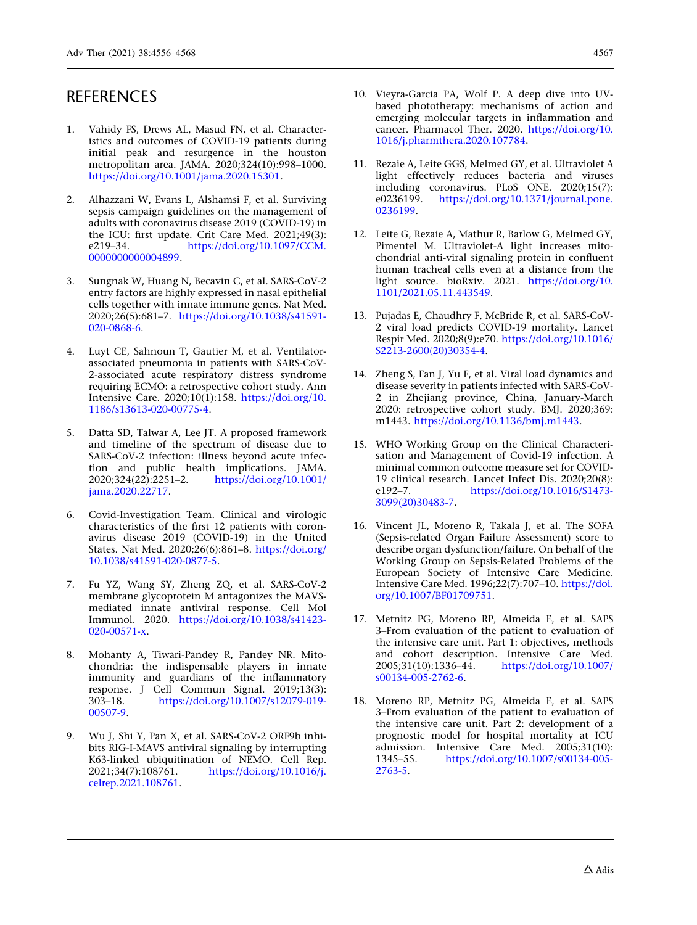- <span id="page-11-0"></span>1. Vahidy FS, Drews AL, Masud FN, et al. Characteristics and outcomes of COVID-19 patients during initial peak and resurgence in the houston metropolitan area. JAMA. 2020;324(10):998–1000. [https://doi.org/10.1001/jama.2020.15301.](https://doi.org/10.1001/jama.2020.15301)
- 2. Alhazzani W, Evans L, Alshamsi F, et al. Surviving sepsis campaign guidelines on the management of adults with coronavirus disease 2019 (COVID-19) in the ICU: first update. Crit Care Med. 2021;49(3): e219–34. [https://doi.org/10.1097/CCM.](https://doi.org/10.1097/CCM.0000000000004899) [0000000000004899](https://doi.org/10.1097/CCM.0000000000004899).
- 3. Sungnak W, Huang N, Becavin C, et al. SARS-CoV-2 entry factors are highly expressed in nasal epithelial cells together with innate immune genes. Nat Med. 2020;26(5):681–7. [https://doi.org/10.1038/s41591-](https://doi.org/10.1038/s41591-020-0868-6) [020-0868-6](https://doi.org/10.1038/s41591-020-0868-6).
- 4. Luyt CE, Sahnoun T, Gautier M, et al. Ventilatorassociated pneumonia in patients with SARS-CoV-2-associated acute respiratory distress syndrome requiring ECMO: a retrospective cohort study. Ann Intensive Care. 2020;10(1):158. [https://doi.org/10.](https://doi.org/10.1186/s13613-020-00775-4) [1186/s13613-020-00775-4](https://doi.org/10.1186/s13613-020-00775-4).
- 5. Datta SD, Talwar A, Lee JT. A proposed framework and timeline of the spectrum of disease due to SARS-CoV-2 infection: illness beyond acute infection and public health implications. JAMA.<br> $2020;324(22);2251-2$ . https://doi.org/10.1001/ 2020;324(22):2251–2. [https://doi.org/10.1001/](https://doi.org/10.1001/jama.2020.22717) [jama.2020.22717.](https://doi.org/10.1001/jama.2020.22717)
- 6. Covid-Investigation Team. Clinical and virologic characteristics of the first 12 patients with coronavirus disease 2019 (COVID-19) in the United States. Nat Med. 2020;26(6):861–8. [https://doi.org/](https://doi.org/10.1038/s41591-020-0877-5) [10.1038/s41591-020-0877-5.](https://doi.org/10.1038/s41591-020-0877-5)
- 7. Fu YZ, Wang SY, Zheng ZQ, et al. SARS-CoV-2 membrane glycoprotein M antagonizes the MAVSmediated innate antiviral response. Cell Mol Immunol. 2020. [https://doi.org/10.1038/s41423-](https://doi.org/10.1038/s41423-020-00571-x) [020-00571-x](https://doi.org/10.1038/s41423-020-00571-x).
- 8. Mohanty A, Tiwari-Pandey R, Pandey NR. Mitochondria: the indispensable players in innate immunity and guardians of the inflammatory response. J Cell Commun Signal. 2019;13(3):<br>303–18. https://doi.org/10.1007/s12079-019[https://doi.org/10.1007/s12079-019-](https://doi.org/10.1007/s12079-019-00507-9) [00507-9.](https://doi.org/10.1007/s12079-019-00507-9)
- 9. Wu J, Shi Y, Pan X, et al. SARS-CoV-2 ORF9b inhibits RIG-I-MAVS antiviral signaling by interrupting K63-linked ubiquitination of NEMO. Cell Rep.<br>2021;34(7):108761. https://doi.org/10.1016/j. [https://doi.org/10.1016/j.](https://doi.org/10.1016/j.celrep.2021.108761) [celrep.2021.108761.](https://doi.org/10.1016/j.celrep.2021.108761)
- 10. Vieyra-Garcia PA, Wolf P. A deep dive into UVbased phototherapy: mechanisms of action and emerging molecular targets in inflammation and cancer. Pharmacol Ther. 2020. [https://doi.org/10.](https://doi.org/10.1016/j.pharmthera.2020.107784) [1016/j.pharmthera.2020.107784](https://doi.org/10.1016/j.pharmthera.2020.107784).
- 11. Rezaie A, Leite GGS, Melmed GY, et al. Ultraviolet A light effectively reduces bacteria and viruses including coronavirus. PLoS ONE. 2020;15(7): e0236199. [https://doi.org/10.1371/journal.pone.](https://doi.org/10.1371/journal.pone.0236199) [0236199](https://doi.org/10.1371/journal.pone.0236199).
- 12. Leite G, Rezaie A, Mathur R, Barlow G, Melmed GY, Pimentel M. Ultraviolet-A light increases mitochondrial anti-viral signaling protein in confluent human tracheal cells even at a distance from the light source. bioRxiv. 2021. [https://doi.org/10.](https://doi.org/10.1101/2021.05.11.443549) [1101/2021.05.11.443549](https://doi.org/10.1101/2021.05.11.443549).
- 13. Pujadas E, Chaudhry F, McBride R, et al. SARS-CoV-2 viral load predicts COVID-19 mortality. Lancet Respir Med. 2020;8(9):e70. [https://doi.org/10.1016/](https://doi.org/10.1016/S2213-2600(20)30354-4) [S2213-2600\(20\)30354-4.](https://doi.org/10.1016/S2213-2600(20)30354-4)
- 14. Zheng S, Fan J, Yu F, et al. Viral load dynamics and disease severity in patients infected with SARS-CoV-2 in Zhejiang province, China, January-March 2020: retrospective cohort study. BMJ. 2020;369: m1443. <https://doi.org/10.1136/bmj.m1443>.
- 15. WHO Working Group on the Clinical Characterisation and Management of Covid-19 infection. A minimal common outcome measure set for COVID-19 clinical research. Lancet Infect Dis. 2020;20(8): e192–7. [https://doi.org/10.1016/S1473-](https://doi.org/10.1016/S1473-3099(20)30483-7) [3099\(20\)30483-7](https://doi.org/10.1016/S1473-3099(20)30483-7).
- 16. Vincent JL, Moreno R, Takala J, et al. The SOFA (Sepsis-related Organ Failure Assessment) score to describe organ dysfunction/failure. On behalf of the Working Group on Sepsis-Related Problems of the European Society of Intensive Care Medicine. Intensive Care Med. 1996;22(7):707–10. [https://doi.](https://doi.org/10.1007/BF01709751) [org/10.1007/BF01709751.](https://doi.org/10.1007/BF01709751)
- 17. Metnitz PG, Moreno RP, Almeida E, et al. SAPS 3–From evaluation of the patient to evaluation of the intensive care unit. Part 1: objectives, methods and cohort description. Intensive Care Med. 2005;31(10):1336–44. [https://doi.org/10.1007/](https://doi.org/10.1007/s00134-005-2762-6) [s00134-005-2762-6](https://doi.org/10.1007/s00134-005-2762-6).
- 18. Moreno RP, Metnitz PG, Almeida E, et al. SAPS 3–From evaluation of the patient to evaluation of the intensive care unit. Part 2: development of a prognostic model for hospital mortality at ICU admission. Intensive Care Med. 2005;31(10):<br>1345–55. https://doi.org/10.1007/s00134-005[https://doi.org/10.1007/s00134-005-](https://doi.org/10.1007/s00134-005-2763-5) [2763-5](https://doi.org/10.1007/s00134-005-2763-5).